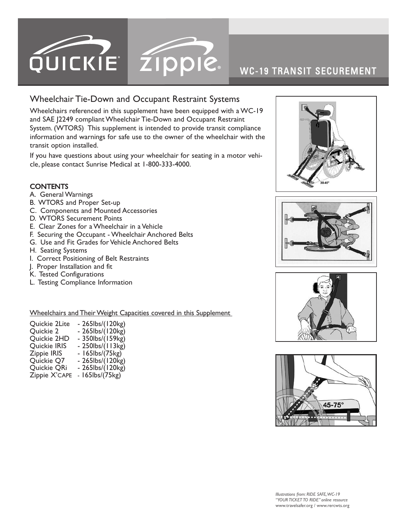

# WC-19 TRANSIT SECUREMENT

## Wheelchair Tie-Down and Occupant Restraint Systems

Wheelchairs referenced in this supplement have been equipped with a WC-19 and SAE J2249 compliant Wheelchair Tie-Down and Occupant Restraint System. (WTORS) This supplement is intended to provide transit compliance information and warnings for safe use to the owner of the wheelchair with the transit option installed.

If you have questions about using your wheelchair for seating in a motor vehicle, please contact Sunrise Medical at 1-800-333-4000.

### **CONTENTS**

- A. [G](#page-4-0)eneral Warnings
- B. [WTORS](#page-4-0) and Proper Set-up
- C. Components and Mounted Accessories
- D. WTORS [Securement](#page-4-0) Points
- [E.](#page-4-0) Clear Zones for a Wheelchair in a Vehicle
- F. Securing the Occupant [Wheelchair](#page-4-0) Anchored Belts
- G. Use and Fit Grades for Vehicle [Anchored](#page-4-0) Belts
- H. Seating [Systems](#page-4-0)
- I. Correct [Positioning](#page-4-0) of Belt Restraints
- J. Proper Installation and fit
- K. Tested [Configurations](#page-4-0)
- L. Testing [Compliance](#page-4-0) Information

Wheelchairs and Their Weight Capacities covered in this Supplement

| Quickie 2Lite | - 265lbs/(120kg) |
|---------------|------------------|
| Quickie 2     | - 265lbs/(120kg) |
| Quickie 2HD   | - 350lbs/(159kg) |
| Quickie IRIS  | - 250lbs/(113kg) |
| Zippie IRIS   | - 165lbs/(75kg)  |
| Quickie Q7    | - 265lbs/(120kg) |
| Quickie QRi   | - 265lbs/(120kg) |
| Zippie X'CAPE | - 165lbs/(75kg)  |







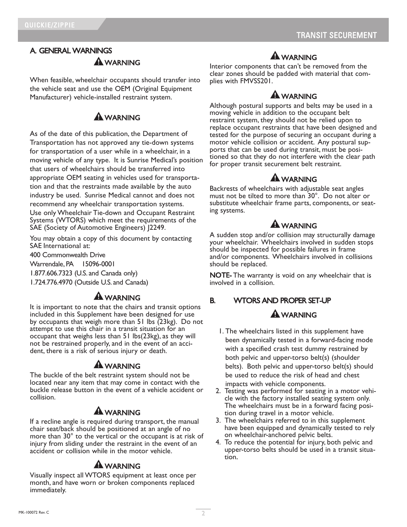### A. GENERAL WARNINGS **A** WARNING

When feasible, wheelchair occupants should transfer into the vehicle seat and use the OEM (Original Equipment Manufacturer) vehicle-installed restraint system.

## **A** WARNING

As of the date of this publication, the Department of Transportation has not approved any tie-down systems for transportation of a user while in a wheelchair, in a moving vehicle of any type. It is Sunrise Medical's position that users of wheelchairs should be transferred into appropriate OEM seating in vehicles used for transportation and that the restraints made available by the auto industry be used. Sunrise Medical cannot and does not recommend any wheelchair transportation systems. Use only Wheelchair Tie-down and Occupant Restraint Systems (WTORS) which meet the requirements of the SAE (Society of Automotive Engineers) J2249.

You may obtain a copy of this document by contacting SAE International at:

400 Commonwealth Drive

Warrendale, PA 15096-0001

1.877.606.7323 (U.S. and Canada only)

1.724.776.4970 (Outside U.S. and Canada)

### **A** WARNING

It is important to note that the chairs and transit options included in this Supplement have been designed for use by occupants that weigh more than 51 lbs (23kg). Do not attempt to use this chair in a transit situation for an occupant that weighs less than 51 lbs(23kg), as they will not be restrained properly, and in the event of an acci- dent, there is <sup>a</sup> risk of serious injury or death.

#### **A WARNING**

The buckle of the belt restraint system should not be located near any item that may come in contact with the buckle release button in the event of a vehicle accident or collision.

### **A** WARNING

If a recline angle is required during transport, the manual chair seat/back should be positioned at an angle of no more than 30° to the vertical or the occupant is at risk of injury from sliding under the restraint in the event of an accident or collision while in the motor vehicle.

### **A** WARNING

Visually inspect all WTORS equipment at least once per month, and have worn or broken components replaced immediately.

## **A**WARNING

Interior components that can't be removed from the clear zones should be padded with material that complies with FMVSS201.

## **A WARNING**

Although postural supports and belts may be used in a moving vehicle in addition to the occupant belt restraint system, they should not be relied upon to replace occupant restraints that have been designed and tested for the purpose of securing an occupant during a motor vehicle collision or accident. Any postural supports that can be used during transit, must be positioned so that they do not interfere with the clear path for proper transit securement belt restraint.

### **A WARNING**

Backrests of wheelchairs with adjustable seat angles must not be tilted to more than 30°. Do not alter or substitute wheelchair frame parts, components, or seat- ing systems.

## **A**WARNING

A sudden stop and/or collision may structurally damage your wheelchair. Wheelchairs involved in sudden stops should be inspected for possible failures in frame and/or components. Wheelchairs involved in collisions should be replaced.

NOTE- The warranty is void on any wheelchair that is involved in a collision.

### B. WTORS AND PROPER SET-UP

### **A** WARNING

- 1. The wheelchairs listed in this supplement have been dynamically tested in a forward-facing mode with a specified crash test dummy restrained by both pelvic and upper-torso belt(s) (shoulder belts). Both pelvic and upper-torso belt(s) should be used to reduce the risk of head and chest impacts with vehicle components.
- 2. Testing was performed for seating in a motor vehicle with the factory installed seating system only. The wheelchairs must be in a forward facing position during travel in a motor vehicle.
- 3. The wheelchairs referred to in this supplement have been equipped and dynamically tested to rely<br>on wheelchair-anchored pelvic belts.
- 4. To reduce the potential for injury, both pelvic and upper-torso belts should be used in a transit situation.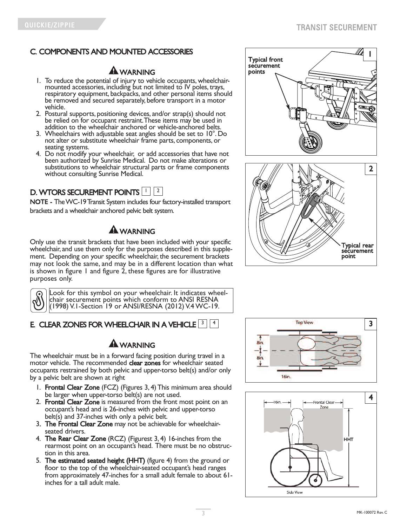## C. COMPONENTS AND MOUNTED ACCESSORIES

# **A** WARNING

- 1. To reduce the potential of injury to vehicle occupants, wheelchair-<br>mounted accessories, including but not limited to IV poles, trays,<br>respiratory equipment, backpacks, and other personal items should be removed and secured separately, before transport in a motor<br>vehicle.
- 2. Postural supports, positioning devices, and/or strap(s) should not be relied on for occupant restraint. These items may be used in addition to the wheelchair anchored or vehicle-anchored belts.
- 3. Wheelchairs with adjustable seat angles should be set to 10°. Do not alter or substitute wheelchair frame parts, components, or
- seating systems. 4. Do not modify your wheelchair, or add accessories that have not been authorized by Sunrise Medical. Do not make alterations or substitutions to wheelchair structural parts or frame components without consulting Sunrise Medical.



NOTE - TheWC-19Transit System includes four factory-installed transport brackets and a wheelchair anchored pelvic belt system.

# $\mathbf A$  WARNING

Only use the transit brackets that have been included with your specific wheelchair, and use them only for the purposes described in this supplement. Depending on your specific wheelchair, the securement brackets may not look the same, and may be in a different location than what is shown in figure 1 and figure 2, these figures are for illustrative purposes only.



Look for this symbol on your wheelchair. It indicates wheel- chair securement points which conform to ANSI RESNA (1998) V.1-Section 19 or ANSI/RESNA (2012) V.4 WC-19.

# E. CLEAR ZONES FOR WHEELCHAIR IN A VEHICLE  $\frac{3}{4}$

## $\mathbf A$  WARNING

The wheelchair must be in a forward facing position during travel in a motor vehicle. The recommended clear zones for wheelchair seated occupants restrained by both pelvic and upper-torso belt(s) and/or only by a pelvic belt are shown at right

- 1. Frontal Clear Zone (FCZ) (Figures 3, 4) This minimum area should be larger when upper-torso belt(s) are not used.
- 2. Frontal Clear Zone is measured from the front most point on an occupant's head and is 26-inches with pelvic and upper-torso belt(s) and 37-inches with only a pelvic belt.
- 3. The Frontal Clear Zone may not be achievable for wheelchairseated drivers.
- 4. The Rear Clear Zone (RCZ) (Figurest 3, 4) 16-inches from the rearmost point on an occupant's head. There must be no obstruction in this area.
- 5. The estimated seated height (HHT) (figure 4) from the ground or floor to the top of the wheelchair-seated occupant's head ranges from approximately 47-inches for a small adult female to about 61 inches for a tall adult male.







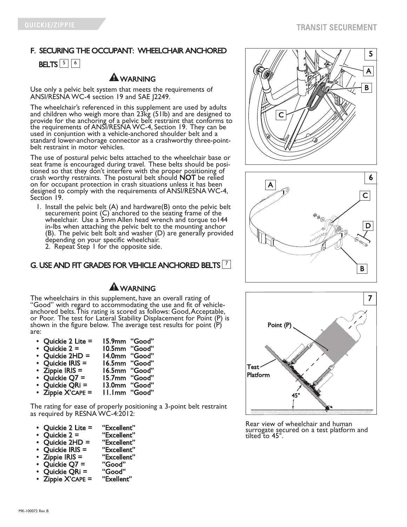# F. SECURING THE OCCUPANT: WHEELCHAIR ANCHORED **BELTS**  $\boxed{5}$   $\boxed{6}$

### WARNING

Use only a pelvic belt system that meets the requirements of ANSI/RESNA WC-4 section 19 and SAE J2249.

The wheelchair's referenced in this supplement are used by adults and children who weigh more than 23kg (51lb) and are designed to provide for the anchoring of a pelvic belt restraint that conforms to the requirements of ANSI/RESNA WC-4, Section 19. They can be used in conjuntion with a vehicle-anchored shoulder belt and a standard lower-anchorage connector as <sup>a</sup> crashworthy three-point- belt restraint in motor vehicles.

The use of postural pelvic belts attached to the wheelchair base or seat frame is encouraged during travel. These belts should be positioned so that they don't interfere with the proper positioning of crash worthy restraints. The postural belt should NOT be relied on for occupant protection in crash situations unless it has been designed to comply with the requirements of ANSI/RESNA WC-4, Section 19.

- 1. Install the pelvic belt (A) and hardware(B) onto the pelvic belt securement point (C) anchored to the seating frame of the wheelchair. Use a 5mm Allen head wrench and torque to 144 in-lbs when attaching the pelvic belt to the mounting anchor (B). The pelvic belt bolt and washer (D) are generally provided
	- 2. Repeat Step 1 for the opposite side.

### G. USE AND FIT GRADES FOR VEHICLE ANCHORED BELTS  $\mathbb{Z}$

## **A** WARNING

The wheelchairs in this supplement, have an overall rating of<br>"Good" with regard to accommodating the use and fit of vehicle-<br>anchored belts. This rating is scored as follows: Good, Acceptable,<br>or Poor. The test for Latera shown in the figure below. The average test results for point  $(P)$ are:

- 
- Quickie 2 Lite = 15.9mm "Good" Quickie 2 = 10.5mm "Good"<br>Ouickie 2HD = 14.0mm "Good"
- 14.0mm "Good"<br>16.5mm "Good"
- 
- Quickie IRIS =<br>Zippie IRIS =
- Zippie IRIS = 16.5mm "Good"
- Quickie Q7 = 15.7mm "Good"<br>Ouickie ORi = 13.0mm "Good"
- Quickie QRi = 13.0mm "Good"<br>Zippie X'CAPE = 11.1mm "Good" **II.Imm** "Good"

The rating for ease of properly positioning a 3-point belt restraint as required by RESNA WC-4:2012:

- Quickie 2 Lite = "Excellent"<br>Quickie 2 = "Excellent"<br>Ouickie 2HD = "Excellent"
- 
- Quickie 2HD = "Excellent"<br>Quickie IRIS = "Excellent"
- Quickie IRIS = "Excellent"
- $\mathsf{Zippie}$  IRIS = "Excelle<br>Ouickie O7 = "Good"
- Quickie Q7 = "Good"<br>Ouickie ORi = "Good"
- Quickie QRi = "Good"<br>Zippie X'CAPE = "Exellent"
- $Zippie X'CAPE =$







Rear view of wheelchair and human surrogate secured on <sup>a</sup> test platform and tilted to 45°.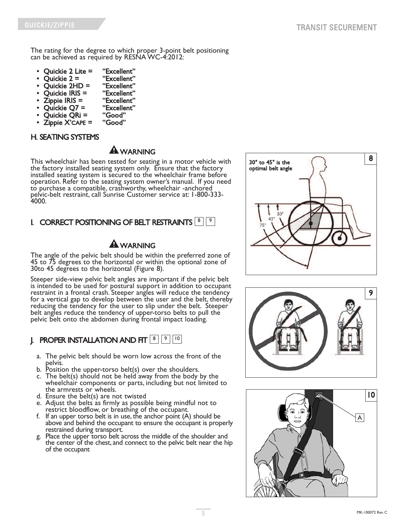<span id="page-4-0"></span>The rating for the degree to which proper 3-point belt positioning can be achieved as required by RESNA WC-4:2012:

- Quickie 2 Lite = "Excellent"<br>Ouickie 2 = "Excellent"
- 
- Quickie 2 = "Excellent" Quickie 2HD = "Excellent"<br>Ouickie IRIS = "Excellent"
- 
- Quickie IRIS = "Excellent" • Zippie IRIS = "Excellent"
- Quickie Q7 = "Excelle<br>Ouickie ORi = "Good"
- 
- Quickie QRi = "Good"<br>Zippie X'CAPE = "Good"  $Zippie X'CAPE =$

#### H. SEATING SYSTEMS

## **A**WARNING

This wheelchair has been tested for seating in a motor vehicle with the factory installed seating system only. Ensure that the factory installed seating system is secured to the wheelchair frame before operation. Refer to the seating system owner's manual. If you need to purchase a compatible, crashworthy, wheelchair -anchored pelvic-belt restraint, call Sunrise Customer service at: 1-800-333- 4000.

## I. CORRECT POSITIONING OF BELT RESTRAINTS  $[8]$   $[9]$

## $\mathbf A$  WARNING

The angle of the pelvic belt should be within the preferred zone of 45 to 75 degrees to the horizontal or within the optional zone of 30to 45 degrees to the horizontal (Figure 8).

Steeper side-view pelvic belt angles are important if the pelvic belt is intended to be used for postural support in addition to occupant restraint in a frontal crash. Steeper angles will reduce the tendency for a vertical gap to develop between the user and the belt, thereby reducing the tendency for the user to slip under the belt. Steeper belt angles reduce the tendency of upper-torso belts to pull the pelvic belt onto the abdomen during frontal impact loading.

## **J. PROPER INSTALLATION AND FIT**  $\boxed{8}$  $\boxed{9}$  $\boxed{10}$

- a. The pelvic belt should be worn low across the front of the
- b. Position the upper-torso belt(s) over the shoulders.<br>c. The belt(s) should not be held away from the body by the
- wheelchair components or parts, including but not limited to<br>the armrests or wheels.
- d. Ensure the belt(s) are not twisted
- e. Adjust the belts as firmly as possible being mindful not to restrict bloodflow, or breathing of the occupant.
- f. If an upper torso belt is in use, the anchor point  $(A)$  should be above and behind the occupant to ensure the occupant is properly
- restrained during transport. g. Place the upper torso belt across the middle of the shoulder and the center of the chest, and connect to the pelvic belt near the hip of the occupant





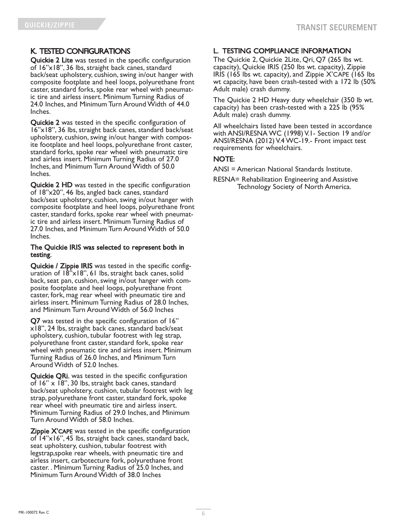### K. TESTED CONFIGURATIONS

Quickie 2 Lite was tested in the specific configuration of 16"x18", 36 lbs, straight back canes, standard back/seat upholstery, cushion, swing in/out hanger with composite footplate and heel loops, polyurethane front caster, standard forks, spoke rear wheel with pneumatic tire and airless insert. Minimum Turning Radius of 24.0 Inches, and Minimum Turn Around Width of 44.0 Inches.

Quickie 2 was tested in the specific configuration of 16"x18", 36 lbs, straight back canes, standard back/seat upholstery, cushion, swing in/out hanger with composite footplate and heel loops, polyurethane front caster, standard forks, spoke rear wheel with pneumatic tire and airless insert. Minimum Turning Radius of 27.0 Inches, and Minimum Turn Around Width of 50.0 Inches.

Quickie 2 HD was tested in the specific configuration of 18"x20", 46 lbs, angled back canes, standard back/seat upholstery, cushion, swing in/out hanger with composite footplate and heel loops, polyurethane front ic tire and airless insert. Minimum Turning Radius of 27.0 Inches, and Minimum Turn Around Width of 50.0 Inches.

#### The Quickie IRIS was selected to represent both in testing.

Quickie / Zippie IRIS was tested in the specific configuration of 18"x18", 61 lbs, straight back canes, solid back, seat pan, cushion, swing in/out hanger with composite footplate and heel loops, polyurethane front caster, fork, mag rear wheel with pneumatic tire and airless insert. Minimum Turning Radius of 28.0 Inches, and Minimum Turn Around Width of 56.0 Inches

**Q7** was tested in the specific configuration of  $16"$   $\times$  18", 24 lbs, straight back canes, standard back/seat upholstery, cushion, tubular footrest with leg strap, polyurethane front caster, standard fork, spoke rear wheel with pneumatic tire and airless insert. Minimum Turning Radius of 26.0 Inches, and Minimum Turn Around Width of 52.0 Inches.

Quickie QRi. was tested in the specific configuration of 16" x 18", 30 lbs, straight back canes, standard back/seat upholstery, cushion, tubular footrest with leg strap, polyurethane front caster, standard fork, spoke rear wheel with pneumatic tire and airless insert. Minimum Turning Radius of 29.0 Inches, and Minimum Turn Around Width of 58.0 Inches.

Zippie X'CAPE was tested in the specific configuration of 14"x16", <sup>45</sup> lbs, straight back canes, standard back, seat upholstery, cushion, tubular footrest with legstrap,spoke rear wheels, with pneumatic tire and airless insert, carbotecture fork, polyurethane front caster. . Minimum Turning Radius of 25.0 Inches, and Minimum Turn Around Width of 38.0 Inches

### L. TESTING COMPLIANCE INFORMATION

The Quickie 2, Quickie 2Lite, Qri, Q7 (265 lbs wt. capacity), Quickie IRIS (250 lbs wt. capacity), Zippie IRIS (165 lbs wt. capacity), and Zippie X'CAPE (165 lbs wt capacity, have been crash-tested with a 172 lb (50% Adult male) crash dummy.

The Quickie 2 HD Heavy duty wheelchair (350 lb wt. capacity) has been crash-tested with a 225 lb (95% Adult male) crash dummy.

All wheelchairs listed have been tested in accordance with ANSI/RESNA WC (1998) V.1- Section 19 and/or ANSI/RESNA (2012) V.4 WC-19.- Front impact test requirements for wheelchairs.

#### NOTE:

ANSI = American National Standards Institute.

RESNA= Rehabilitation Engineering and Assistive Technology Society of North America.